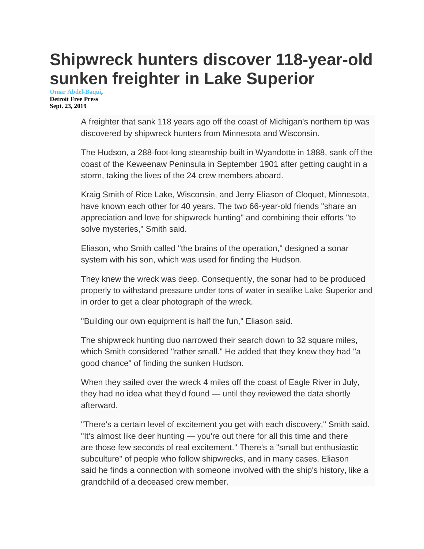## **Shipwreck hunters discover 118-year-old sunken freighter in Lake Superior**

**[Omar Abdel-Baqui,](http://www.freep.com/staff/55637/omar-abdel-baqui/)  Detroit Free Press Sept. 23, 2019**

> A freighter that sank 118 years ago off the coast of Michigan's northern tip was discovered by shipwreck hunters from Minnesota and Wisconsin.

> The Hudson, a 288-foot-long steamship built in Wyandotte in 1888, sank off the coast of the Keweenaw Peninsula in September 1901 after getting caught in a storm, taking the lives of the 24 crew members aboard.

Kraig Smith of Rice Lake, Wisconsin, and Jerry Eliason of Cloquet, Minnesota, have known each other for 40 years. The two 66-year-old friends "share an appreciation and love for shipwreck hunting" and combining their efforts "to solve mysteries," Smith said.

Eliason, who Smith called "the brains of the operation," designed a sonar system with his son, which was used for finding the Hudson.

They knew the wreck was deep. Consequently, the sonar had to be produced properly to withstand pressure under tons of water in sealike Lake Superior and in order to get a clear photograph of the wreck.

"Building our own equipment is half the fun," Eliason said.

The shipwreck hunting duo narrowed their search down to 32 square miles, which Smith considered "rather small." He added that they knew they had "a good chance" of finding the sunken Hudson.

When they sailed over the wreck 4 miles off the coast of Eagle River in July, they had no idea what they'd found — until they reviewed the data shortly afterward.

"There's a certain level of excitement you get with each discovery," Smith said. "It's almost like deer hunting — you're out there for all this time and there are those few seconds of real excitement." There's a "small but enthusiastic subculture" of people who follow shipwrecks, and in many cases, Eliason said he finds a connection with someone involved with the ship's history, like a grandchild of a deceased crew member.